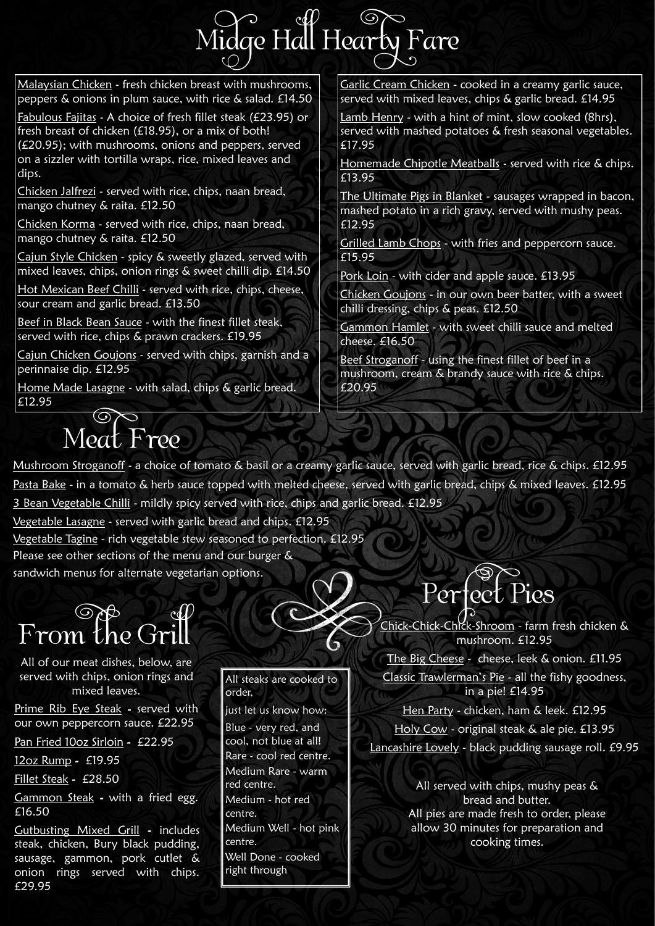# Midge Hall Hearty Fare

All of our meat dishes, below, are served with chips, onion rings and mixed leaves.

Prime Rib Eye Steak - served with our own peppercorn sauce. £22.95 Pan Fried 10oz Sirloin - £22.95 12oz Rump - £19.95 Fillet Steak - £28.50 Gammon Steak - with a fried egg. £16.50 Gutbusting Mixed Grill - includes steak, chicken, Bury black pudding,

sausage, gammon, pork cutlet & onion rings served with chips.

£29.95

All steaks are cooked to order,



just let us know how: Blue - very red, and cool, not blue at all! Rare - cool red centre. Medium Rare - warm red centre. Medium - hot red centre. Medium Well - hot pink centre. Well Done - cooked right through

Hot Mexican Beef Chilli - served with rice, chips, cheese, sour cream and garlic bread. £13.50

Malaysian Chicken - fresh chicken breast with mushrooms, peppers & onions in plum sauce, with rice & salad. £14.50

Home Made Lasagne - with salad, chips & garlic bread. £12.95

Fabulous Fajitas - A choice of fresh fillet steak (£23.95) or fresh breast of chicken (£18.95), or a mix of both! (£20.95); with mushrooms, onions and peppers, served on a sizzler with tortilla wraps, rice, mixed leaves and dips.

> Hen Party - chicken, ham & leek. £12.95 Holy Cow - original steak & ale pie. £13.95 Lancashire Lovely - black pudding sausage roll. £9.95

Chicken Jalfrezi - served with rice, chips, naan bread, mango chutney & raita. £12.50

Chicken Korma - served with rice, chips, naan bread, mango chutney & raita. £12.50

Grilled Lamb Chops - with fries and peppercorn sauce. £15.95

Pork Loin - with cider and apple sauce. £13.95

Cajun Style Chicken - spicy & sweetly glazed, served with mixed leaves, chips, onion rings & sweet chilli dip. £14.50

> Beef Stroganoff - using the finest fillet of beef in a mushroom, cream & brandy sauce with rice & chips. £20.95

Mushroom Stroganoff - a choice of tomato & basil or a creamy garlic sauce, served with garlic bread, rice & chips. £12.95 Pasta Bake - in a tomato & herb sauce topped with melted cheese, served with garlic bread, chips & mixed leaves. £12.95 3 Bean Vegetable Chilli - mildly spicy served with rice, chips and garlic bread. £12.95

Beef in Black Bean Sauce - with the finest fillet steak, served with rice, chips & prawn crackers. £19.95

Cajun Chicken Goujons - served with chips, garnish and a perinnaise dip. £12.95

Please see other sections of the menu and our burger & sandwich menus for alternate vegetarian options.

> Chick-Chick-Chick-Shroom - farm fresh chicken & mushroom. £12.95

The Big Cheese - cheese, leek & onion. £11.95

Classic Trawlerman's Pie - all the fishy goodness, in a pie! £14.95

Garlic Cream Chicken - cooked in a creamy garlic sauce, served with mixed leaves, chips & garlic bread. £14.95

Lamb Henry - with a hint of mint, slow cooked (8hrs), served with mashed potatoes & fresh seasonal vegetables. £17.95

Homemade Chipotle Meatballs - served with rice & chips. £13.95

The Ultimate Pigs in Blanket - sausages wrapped in bacon, mashed potato in a rich gravy, served with mushy peas. £12.95

Chicken Goujons - in our own beer batter, with a sweet chilli dressing, chips & peas. £12.50

Gammon Hamlet - with sweet chilli sauce and melted cheese. £16.50

Vegetable Lasagne - served with garlic bread and chips. £12.95

Vegetable Tagine - rich vegetable stew seasoned to perfection. £12.95

### Meat Free



All served with chips, mushy peas & bread and butter. All pies are made fresh to order, please allow 30 minutes for preparation and cooking times.